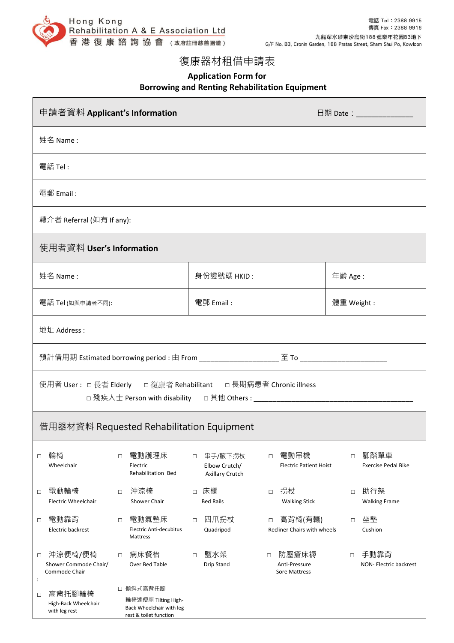

## 復康器材租借申請表

## **Application Form for Borrowing and Renting Rehabilitation Equipment**

| 申請者資料 Applicant's Information                                                                                                                               |                                                                                                          | 日期 Date : __________________                 |
|-------------------------------------------------------------------------------------------------------------------------------------------------------------|----------------------------------------------------------------------------------------------------------|----------------------------------------------|
| 姓名 Name:                                                                                                                                                    |                                                                                                          |                                              |
| 電話 Tel:                                                                                                                                                     |                                                                                                          |                                              |
| 電郵 Email:                                                                                                                                                   |                                                                                                          |                                              |
| 轉介者 Referral (如有 If any):                                                                                                                                   |                                                                                                          |                                              |
| 使用者資料 User's Information                                                                                                                                    |                                                                                                          |                                              |
| 姓名 Name:                                                                                                                                                    | 身份證號碼 HKID:                                                                                              | 年齡 Age:                                      |
| 電話 Tel (如與申請者不同):                                                                                                                                           | 電郵 Email:                                                                                                | 體重 Weight:                                   |
| 地址 Address:                                                                                                                                                 |                                                                                                          |                                              |
|                                                                                                                                                             |                                                                                                          |                                              |
| 使用者 User: □長者 Elderly □復康者 Rehabilitant □長期病患者 Chronic illness                                                                                              |                                                                                                          |                                              |
| 借用器材資料 Requested Rehabilitation Equipment                                                                                                                   |                                                                                                          |                                              |
| 電動護理床<br>輪椅<br>$\Box$<br>□<br>Wheelchair<br>Electric<br><b>Rehabilitation Bed</b>                                                                           | 電動吊機<br>串手/腋下拐杖<br>$\Box$<br>$\Box$<br>Elbow Crutch/<br><b>Electric Patient Hoist</b><br>Axillary Crutch | 腳踏單車<br>$\Box$<br><b>Exercise Pedal Bike</b> |
| 電動輪椅<br>沖涼椅<br>$\Box$<br>$\Box$<br>Electric Wheelchair<br>Shower Chair                                                                                      | 床欄<br>拐杖<br>$\Box$<br>$\Box$<br><b>Bed Rails</b><br><b>Walking Stick</b>                                 | 助行架<br>$\Box$<br><b>Walking Frame</b>        |
| 電動氣墊床<br>電動靠背<br>$\Box$<br>□<br>Electric backrest<br>Electric Anti-decubitus<br>Mattress                                                                    | 四爪拐杖<br>高背椅(有轆)<br>$\Box$<br>$\Box$<br>Quadripod<br>Recliner Chairs with wheels                          | 坐墊<br>$\Box$<br>Cushion                      |
| 沖涼便椅/便椅<br>病床餐枱<br>$\Box$<br>$\Box$<br>Shower Commode Chair/<br>Over Bed Table<br>Commode Chair<br>$\ddot{\cdot}$                                           | 盬水架<br>防壓瘡床褥<br>$\Box$<br>$\Box$<br><b>Drip Stand</b><br>Anti-Pressure<br><b>Sore Mattress</b>           | 手動靠背<br>$\Box$<br>NON- Electric backrest     |
| 傾斜式高背托腳<br>$\Box$<br>高背托腳輪椅<br>$\Box$<br>輪椅連便廁 Tilting High-<br>High-Back Wheelchair<br>Back Wheelchair with leg<br>with leg rest<br>rest & toilet function |                                                                                                          |                                              |